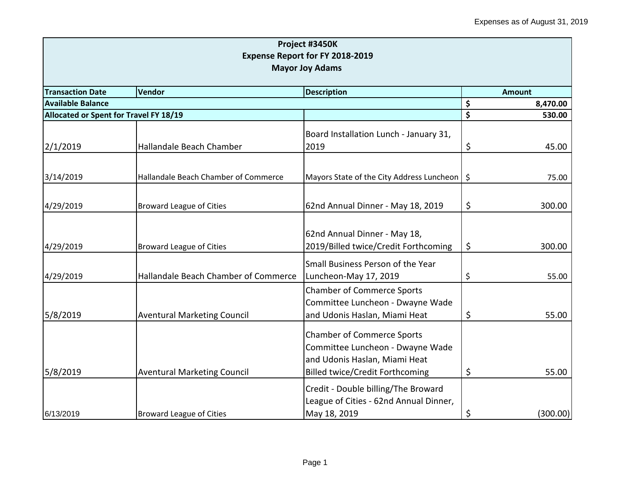| Project #3450K<br>Expense Report for FY 2018-2019<br><b>Mayor Joy Adams</b> |                                      |                                                                                                                                                  |    |               |  |
|-----------------------------------------------------------------------------|--------------------------------------|--------------------------------------------------------------------------------------------------------------------------------------------------|----|---------------|--|
| <b>Transaction Date</b>                                                     | Vendor                               | <b>Description</b>                                                                                                                               |    | <b>Amount</b> |  |
| <b>Available Balance</b>                                                    |                                      |                                                                                                                                                  | \$ | 8,470.00      |  |
| Allocated or Spent for Travel FY 18/19                                      |                                      |                                                                                                                                                  | \$ | 530.00        |  |
| 2/1/2019                                                                    | Hallandale Beach Chamber             | Board Installation Lunch - January 31,<br>2019                                                                                                   | \$ | 45.00         |  |
| 3/14/2019                                                                   | Hallandale Beach Chamber of Commerce | Mayors State of the City Address Luncheon   \$                                                                                                   |    | 75.00         |  |
| 4/29/2019                                                                   | <b>Broward League of Cities</b>      | 62nd Annual Dinner - May 18, 2019                                                                                                                | \$ | 300.00        |  |
| 4/29/2019                                                                   | <b>Broward League of Cities</b>      | 62nd Annual Dinner - May 18,<br>2019/Billed twice/Credit Forthcoming                                                                             | \$ | 300.00        |  |
| 4/29/2019                                                                   | Hallandale Beach Chamber of Commerce | Small Business Person of the Year<br>Luncheon-May 17, 2019                                                                                       | \$ | 55.00         |  |
| 5/8/2019                                                                    | <b>Aventural Marketing Council</b>   | <b>Chamber of Commerce Sports</b><br>Committee Luncheon - Dwayne Wade<br>and Udonis Haslan, Miami Heat                                           | \$ | 55.00         |  |
| 5/8/2019                                                                    | <b>Aventural Marketing Council</b>   | <b>Chamber of Commerce Sports</b><br>Committee Luncheon - Dwayne Wade<br>and Udonis Haslan, Miami Heat<br><b>Billed twice/Credit Forthcoming</b> | \$ | 55.00         |  |
| 6/13/2019                                                                   | <b>Broward League of Cities</b>      | Credit - Double billing/The Broward<br>League of Cities - 62nd Annual Dinner,<br>May 18, 2019                                                    | \$ | (300.00)      |  |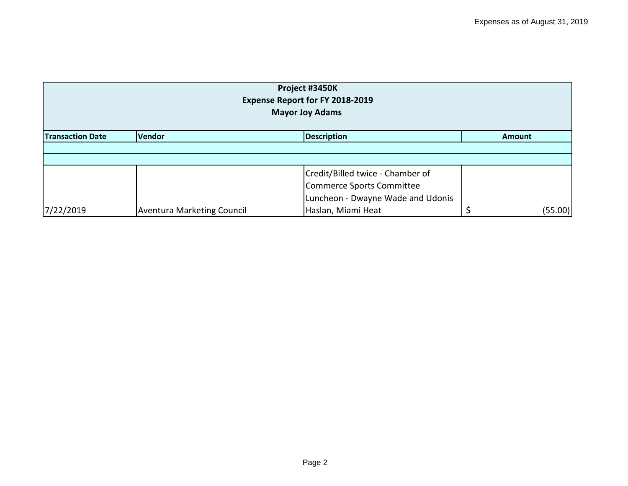| Project #3450K<br>Expense Report for FY 2018-2019<br><b>Mayor Joy Adams</b> |                                   |                                   |         |  |  |  |  |
|-----------------------------------------------------------------------------|-----------------------------------|-----------------------------------|---------|--|--|--|--|
| <b>Description</b><br><b>Transaction Date</b><br>Vendor<br><b>Amount</b>    |                                   |                                   |         |  |  |  |  |
|                                                                             |                                   |                                   |         |  |  |  |  |
|                                                                             |                                   |                                   |         |  |  |  |  |
|                                                                             |                                   | Credit/Billed twice - Chamber of  |         |  |  |  |  |
|                                                                             |                                   | Commerce Sports Committee         |         |  |  |  |  |
|                                                                             |                                   | Luncheon - Dwayne Wade and Udonis |         |  |  |  |  |
| 7/22/2019                                                                   | <b>Aventura Marketing Council</b> | Haslan, Miami Heat                | (55.00) |  |  |  |  |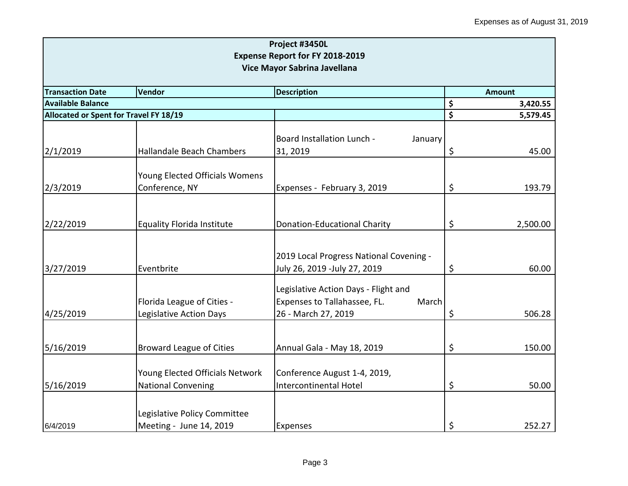| Project #3450L<br><b>Expense Report for FY 2018-2019</b><br>Vice Mayor Sabrina Javellana |                                                              |                                                                                                      |    |          |  |
|------------------------------------------------------------------------------------------|--------------------------------------------------------------|------------------------------------------------------------------------------------------------------|----|----------|--|
| <b>Transaction Date</b>                                                                  | <b>Description</b><br>Vendor                                 |                                                                                                      |    |          |  |
| <b>Available Balance</b>                                                                 |                                                              |                                                                                                      | \$ | 3,420.55 |  |
| Allocated or Spent for Travel FY 18/19                                                   |                                                              |                                                                                                      | \$ | 5,579.45 |  |
| 2/1/2019                                                                                 | Hallandale Beach Chambers                                    | Board Installation Lunch -<br>January<br>31, 2019                                                    | \$ | 45.00    |  |
| 2/3/2019                                                                                 | Young Elected Officials Womens<br>Conference, NY             | Expenses - February 3, 2019                                                                          | \$ | 193.79   |  |
| 2/22/2019                                                                                | <b>Equality Florida Institute</b>                            | <b>Donation-Educational Charity</b>                                                                  | \$ | 2,500.00 |  |
| 3/27/2019                                                                                | Eventbrite                                                   | 2019 Local Progress National Covening -<br>July 26, 2019 -July 27, 2019                              | \$ | 60.00    |  |
| 4/25/2019                                                                                | Florida League of Cities -<br>Legislative Action Days        | Legislative Action Days - Flight and<br>Expenses to Tallahassee, FL.<br>March<br>26 - March 27, 2019 | \$ | 506.28   |  |
| 5/16/2019                                                                                | <b>Broward League of Cities</b>                              | Annual Gala - May 18, 2019                                                                           | \$ | 150.00   |  |
| 5/16/2019                                                                                | Young Elected Officials Network<br><b>National Convening</b> | Conference August 1-4, 2019,<br>Intercontinental Hotel                                               | \$ | 50.00    |  |
| 6/4/2019                                                                                 | Legislative Policy Committee<br>Meeting - June 14, 2019      | Expenses                                                                                             | \$ | 252.27   |  |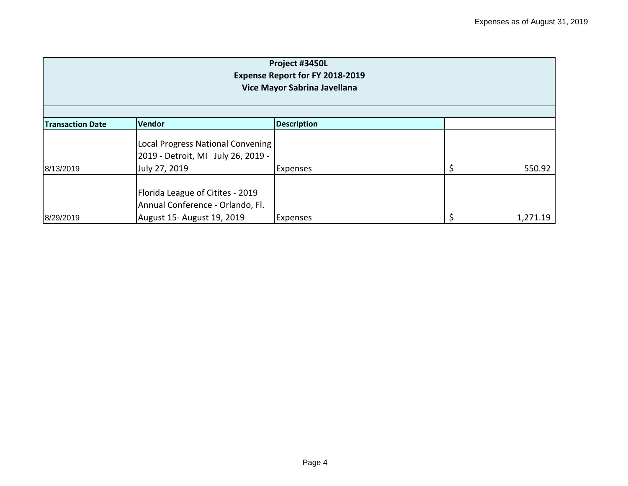| Project #3450L<br>Expense Report for FY 2018-2019<br>Vice Mayor Sabrina Javellana |                                                                                                    |                    |  |          |  |  |
|-----------------------------------------------------------------------------------|----------------------------------------------------------------------------------------------------|--------------------|--|----------|--|--|
| <b>Transaction Date</b>                                                           | Vendor                                                                                             | <b>Description</b> |  |          |  |  |
|                                                                                   | Local Progress National Convening<br>2019 - Detroit, MI July 26, 2019 -                            |                    |  |          |  |  |
| 8/13/2019                                                                         | July 27, 2019                                                                                      | <b>Expenses</b>    |  | 550.92   |  |  |
| 8/29/2019                                                                         | Florida League of Citites - 2019<br>Annual Conference - Orlando, Fl.<br>August 15- August 19, 2019 | <b>Expenses</b>    |  | 1,271.19 |  |  |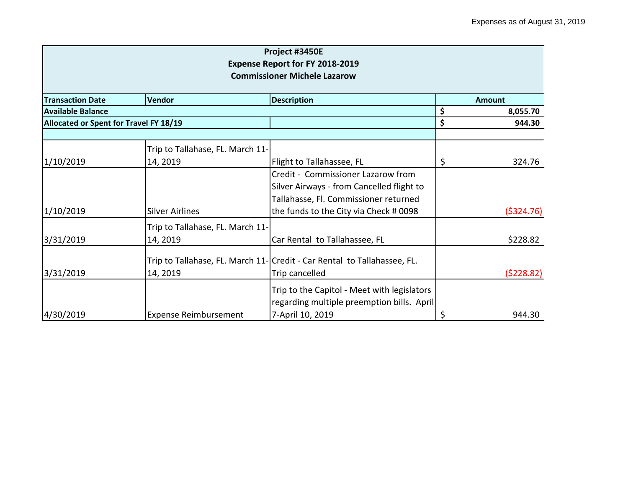|                                     |                                        | Project #3450E<br><b>Expense Report for FY 2018-2019</b>                 |    |           |  |
|-------------------------------------|----------------------------------------|--------------------------------------------------------------------------|----|-----------|--|
| <b>Commissioner Michele Lazarow</b> |                                        |                                                                          |    |           |  |
| <b>Transaction Date</b>             | Vendor                                 | <b>Description</b>                                                       |    | Amount    |  |
| <b>Available Balance</b>            |                                        |                                                                          | \$ | 8,055.70  |  |
|                                     | Allocated or Spent for Travel FY 18/19 |                                                                          |    | 944.30    |  |
|                                     | Trip to Tallahase, FL. March 11-       |                                                                          |    |           |  |
| 1/10/2019                           | 14, 2019                               | Flight to Tallahassee, FL                                                | \$ | 324.76    |  |
|                                     |                                        | Credit - Commissioner Lazarow from                                       |    |           |  |
|                                     |                                        | Silver Airways - from Cancelled flight to                                |    |           |  |
|                                     |                                        | Tallahasse, Fl. Commissioner returned                                    |    |           |  |
| 1/10/2019                           | <b>Silver Airlines</b>                 | the funds to the City via Check # 0098                                   |    | (5324.76) |  |
|                                     | Trip to Tallahase, FL. March 11-       |                                                                          |    |           |  |
| 3/31/2019                           | 14, 2019                               | Car Rental to Tallahassee, FL                                            |    | \$228.82  |  |
|                                     |                                        | Trip to Tallahase, FL. March 11- Credit - Car Rental to Tallahassee, FL. |    |           |  |
| 3/31/2019                           | 14, 2019                               | Trip cancelled                                                           |    | (5228.82) |  |
|                                     |                                        | Trip to the Capitol - Meet with legislators                              |    |           |  |
|                                     |                                        | regarding multiple preemption bills. April                               |    |           |  |
| 4/30/2019                           | <b>Expense Reimbursement</b>           | 7-April 10, 2019                                                         | \$ | 944.30    |  |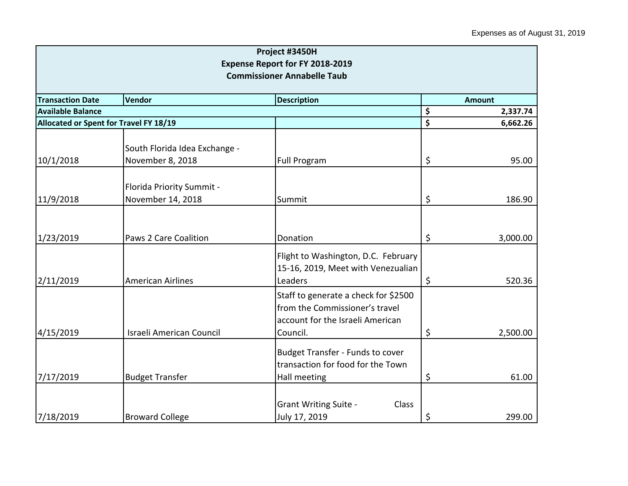|                                                                              |                                                   | Project #3450H                                                                                                         |                                 |          |
|------------------------------------------------------------------------------|---------------------------------------------------|------------------------------------------------------------------------------------------------------------------------|---------------------------------|----------|
| <b>Expense Report for FY 2018-2019</b><br><b>Commissioner Annabelle Taub</b> |                                                   |                                                                                                                        |                                 |          |
| <b>Transaction Date</b>                                                      | <b>Amount</b>                                     |                                                                                                                        |                                 |          |
| <b>Available Balance</b>                                                     |                                                   |                                                                                                                        | \$                              | 2,337.74 |
| Allocated or Spent for Travel FY 18/19                                       |                                                   |                                                                                                                        | $\overline{\boldsymbol{\zeta}}$ | 6,662.26 |
| 10/1/2018                                                                    | South Florida Idea Exchange -<br>November 8, 2018 | <b>Full Program</b>                                                                                                    | $\zeta$                         | 95.00    |
| 11/9/2018                                                                    | Florida Priority Summit -<br>November 14, 2018    | Summit                                                                                                                 | \$                              | 186.90   |
| 1/23/2019                                                                    | Paws 2 Care Coalition                             | Donation                                                                                                               | $\zeta$                         | 3,000.00 |
| 2/11/2019                                                                    | American Airlines                                 | Flight to Washington, D.C. February<br>15-16, 2019, Meet with Venezualian<br>Leaders                                   | $\zeta$                         | 520.36   |
| 4/15/2019                                                                    | Israeli American Council                          | Staff to generate a check for \$2500<br>from the Commissioner's travel<br>account for the Israeli American<br>Council. | $\zeta$                         | 2,500.00 |
| 7/17/2019                                                                    | <b>Budget Transfer</b>                            | <b>Budget Transfer - Funds to cover</b><br>transaction for food for the Town<br>Hall meeting                           | \$                              | 61.00    |
| 7/18/2019                                                                    | <b>Broward College</b>                            | <b>Grant Writing Suite -</b><br>Class<br>July 17, 2019                                                                 | \$                              | 299.00   |